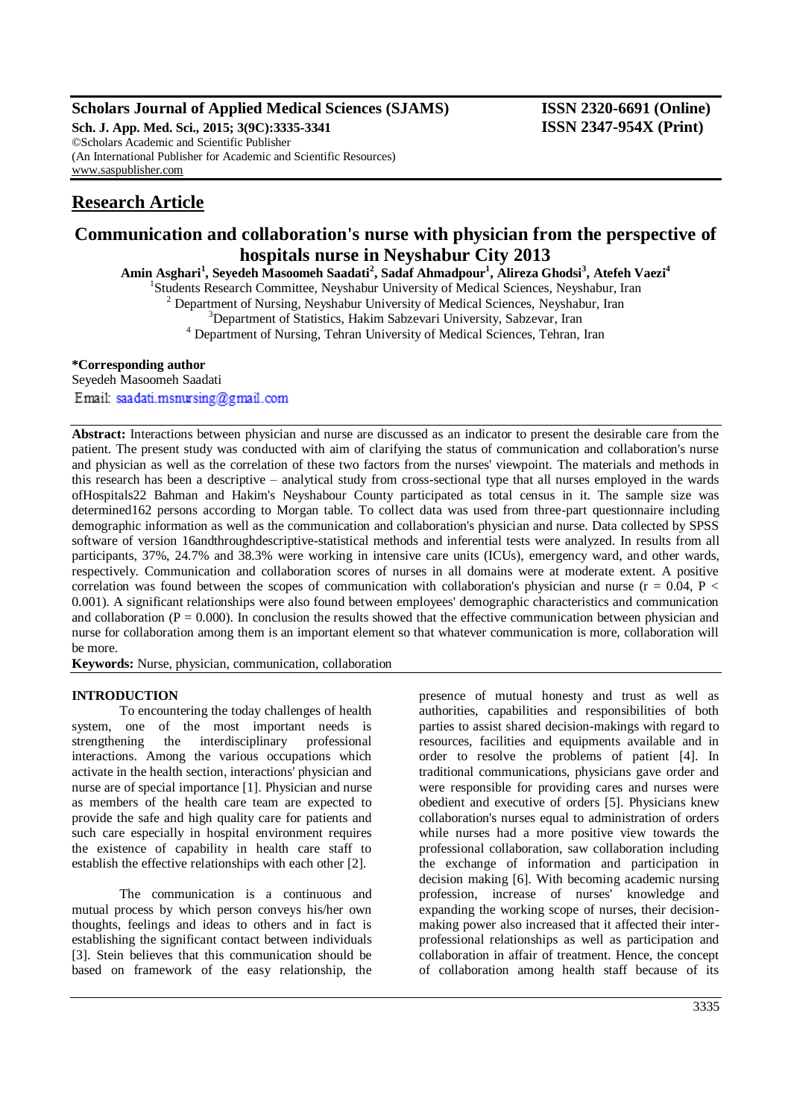# **Scholars Journal of Applied Medical Sciences (SJAMS) ISSN 2320-6691 (Online)**

**Sch. J. App. Med. Sci., 2015; 3(9C):3335-3341 ISSN 2347-954X (Print)** ©Scholars Academic and Scientific Publisher (An International Publisher for Academic and Scientific Resources) [www.saspublisher.com](http://www.saspublisher.com/)

# **Research Article**

# **Communication and collaboration's nurse with physician from the perspective of hospitals nurse in Neyshabur City 2013**

**Amin Asghari<sup>1</sup> , Seyedeh Masoomeh Saadati<sup>2</sup> , Sadaf Ahmadpour<sup>1</sup> , Alireza Ghodsi<sup>3</sup> , Atefeh Vaezi<sup>4</sup>**

<sup>1</sup>Students Research Committee, Neyshabur University of Medical Sciences, Neyshabur, Iran

 $2$  Department of Nursing, Neyshabur University of Medical Sciences, Neyshabur, Iran

<sup>3</sup>Department of Statistics, Hakim Sabzevari University, Sabzevar, Iran

<sup>4</sup> Department of Nursing, Tehran University of Medical Sciences, Tehran, Iran

### **\*Corresponding author**

Seyedeh Masoomeh Saadati Email: saadati.msnursing@gmail.com

**Abstract:** Interactions between physician and nurse are discussed as an indicator to present the desirable care from the patient. The present study was conducted with aim of clarifying the status of communication and collaboration's nurse and physician as well as the correlation of these two factors from the nurses' viewpoint. The materials and methods in this research has been a descriptive – analytical study from cross-sectional type that all nurses employed in the wards ofHospitals22 Bahman and Hakim's Neyshabour County participated as total census in it. The sample size was determined162 persons according to Morgan table. To collect data was used from three-part questionnaire including demographic information as well as the communication and collaboration's physician and nurse. Data collected by SPSS software of version 16andthroughdescriptive-statistical methods and inferential tests were analyzed. In results from all participants, 37%, 24.7% and 38.3% were working in intensive care units (ICUs), emergency ward, and other wards, respectively. Communication and collaboration scores of nurses in all domains were at moderate extent. A positive correlation was found between the scopes of communication with collaboration's physician and nurse ( $r = 0.04$ ,  $P <$ 0.001). A significant relationships were also found between employees' demographic characteristics and communication and collaboration ( $P = 0.000$ ). In conclusion the results showed that the effective communication between physician and nurse for collaboration among them is an important element so that whatever communication is more, collaboration will be more.

**Keywords:** Nurse, physician, communication, collaboration

### **INTRODUCTION**

To encountering the today challenges of health system, one of the most important needs is strengthening the interdisciplinary professional interactions. Among the various occupations which activate in the health section, interactions' physician and nurse are of special importance [1]. Physician and nurse as members of the health care team are expected to provide the safe and high quality care for patients and such care especially in hospital environment requires the existence of capability in health care staff to establish the effective relationships with each other [2].

The communication is a continuous and mutual process by which person conveys his/her own thoughts, feelings and ideas to others and in fact is establishing the significant contact between individuals [3]. Stein believes that this communication should be based on framework of the easy relationship, the

presence of mutual honesty and trust as well as authorities, capabilities and responsibilities of both parties to assist shared decision-makings with regard to resources, facilities and equipments available and in order to resolve the problems of patient [4]. In traditional communications, physicians gave order and were responsible for providing cares and nurses were obedient and executive of orders [5]. Physicians knew collaboration's nurses equal to administration of orders while nurses had a more positive view towards the professional collaboration, saw collaboration including the exchange of information and participation in decision making [6]. With becoming academic nursing profession, increase of nurses' knowledge and expanding the working scope of nurses, their decisionmaking power also increased that it affected their interprofessional relationships as well as participation and collaboration in affair of treatment. Hence, the concept of collaboration among health staff because of its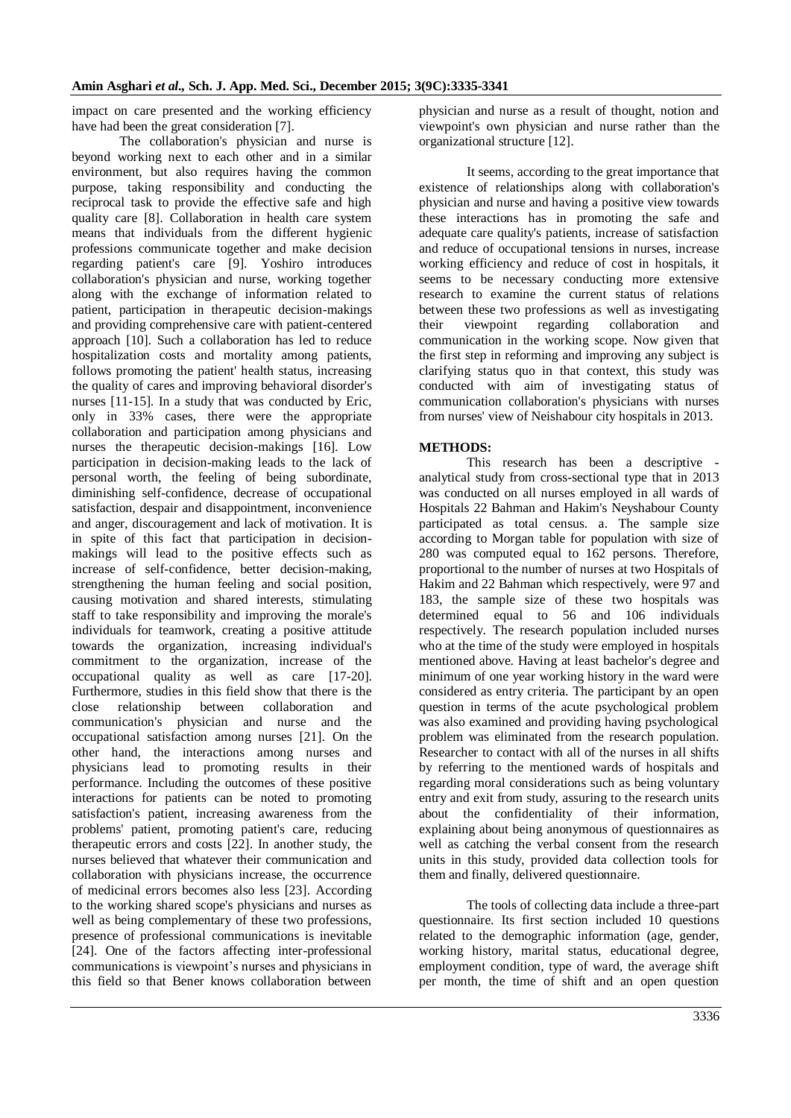impact on care presented and the working efficiency have had been the great consideration [7].

The collaboration's physician and nurse is beyond working next to each other and in a similar environment, but also requires having the common purpose, taking responsibility and conducting the reciprocal task to provide the effective safe and high quality care [8]. Collaboration in health care system means that individuals from the different hygienic professions communicate together and make decision regarding patient's care [9]. Yoshiro introduces collaboration's physician and nurse, working together along with the exchange of information related to patient, participation in therapeutic decision-makings and providing comprehensive care with patient-centered approach [10]. Such a collaboration has led to reduce hospitalization costs and mortality among patients, follows promoting the patient' health status, increasing the quality of cares and improving behavioral disorder's nurses [11-15]. In a study that was conducted by Eric, only in 33% cases, there were the appropriate collaboration and participation among physicians and nurses the therapeutic decision-makings [16]. Low participation in decision-making leads to the lack of personal worth, the feeling of being subordinate, diminishing self-confidence, decrease of occupational satisfaction, despair and disappointment, inconvenience and anger, discouragement and lack of motivation. It is in spite of this fact that participation in decisionmakings will lead to the positive effects such as increase of self-confidence, better decision-making, strengthening the human feeling and social position, causing motivation and shared interests, stimulating staff to take responsibility and improving the morale's individuals for teamwork, creating a positive attitude towards the organization, increasing individual's commitment to the organization, increase of the occupational quality as well as care [17-20]. Furthermore, studies in this field show that there is the close relationship between collaboration and communication's physician and nurse and the occupational satisfaction among nurses [21]. On the other hand, the interactions among nurses and physicians lead to promoting results in their performance. Including the outcomes of these positive interactions for patients can be noted to promoting satisfaction's patient, increasing awareness from the problems' patient, promoting patient's care, reducing therapeutic errors and costs [22]. In another study, the nurses believed that whatever their communication and collaboration with physicians increase, the occurrence of medicinal errors becomes also less [23]. According to the working shared scope's physicians and nurses as well as being complementary of these two professions, presence of professional communications is inevitable [24]. One of the factors affecting inter-professional communications is viewpoint's nurses and physicians in this field so that Bener knows collaboration between

physician and nurse as a result of thought, notion and viewpoint's own physician and nurse rather than the organizational structure [12].

It seems, according to the great importance that existence of relationships along with collaboration's physician and nurse and having a positive view towards these interactions has in promoting the safe and adequate care quality's patients, increase of satisfaction and reduce of occupational tensions in nurses, increase working efficiency and reduce of cost in hospitals, it seems to be necessary conducting more extensive research to examine the current status of relations between these two professions as well as investigating their viewpoint regarding collaboration and communication in the working scope. Now given that the first step in reforming and improving any subject is clarifying status quo in that context, this study was conducted with aim of investigating status of communication collaboration's physicians with nurses from nurses' view of Neishabour city hospitals in 2013.

### **METHODS:**

This research has been a descriptive analytical study from cross-sectional type that in 2013 was conducted on all nurses employed in all wards of Hospitals 22 Bahman and Hakim's Neyshabour County participated as total census. a. The sample size according to Morgan table for population with size of 280 was computed equal to 162 persons. Therefore, proportional to the number of nurses at two Hospitals of Hakim and 22 Bahman which respectively, were 97 and 183, the sample size of these two hospitals was determined equal to 56 and 106 individuals respectively. The research population included nurses who at the time of the study were employed in hospitals mentioned above. Having at least bachelor's degree and minimum of one year working history in the ward were considered as entry criteria. The participant by an open question in terms of the acute psychological problem was also examined and providing having psychological problem was eliminated from the research population. Researcher to contact with all of the nurses in all shifts by referring to the mentioned wards of hospitals and regarding moral considerations such as being voluntary entry and exit from study, assuring to the research units about the confidentiality of their information, explaining about being anonymous of questionnaires as well as catching the verbal consent from the research units in this study, provided data collection tools for them and finally, delivered questionnaire.

The tools of collecting data include a three-part questionnaire. Its first section included 10 questions related to the demographic information (age, gender, working history, marital status, educational degree, employment condition, type of ward, the average shift per month, the time of shift and an open question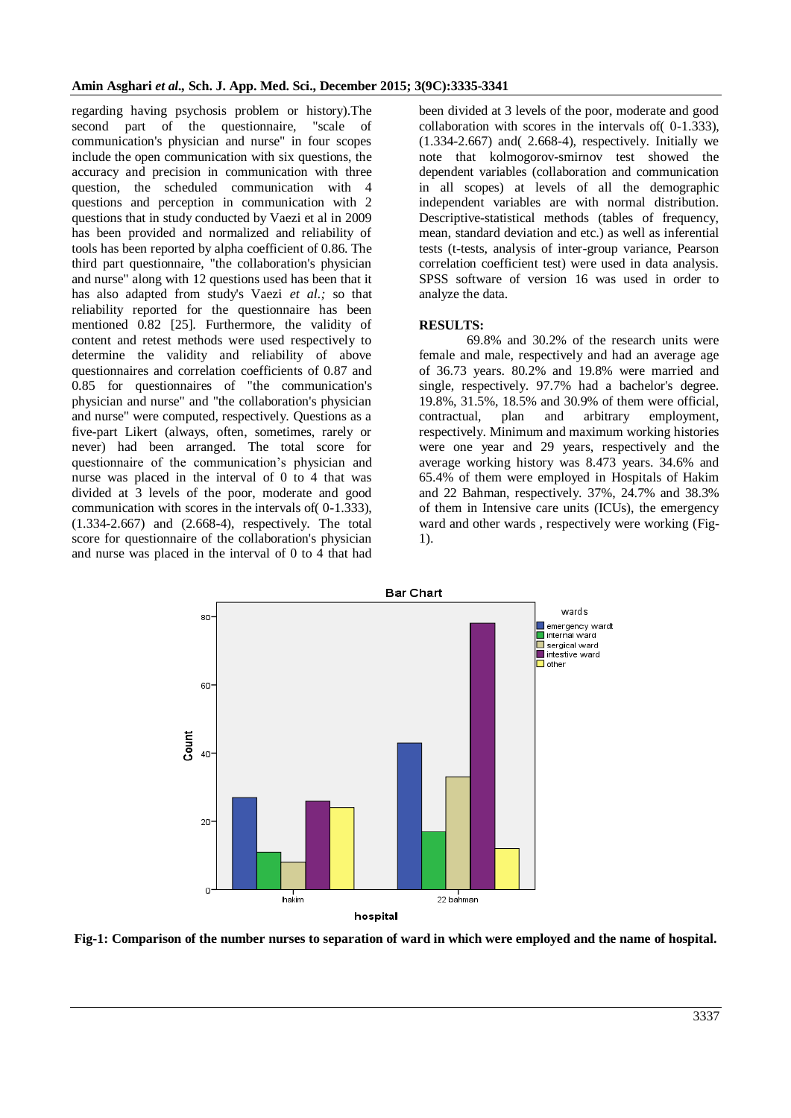regarding having psychosis problem or history).The second part of the questionnaire, "scale of communication's physician and nurse" in four scopes include the open communication with six questions, the accuracy and precision in communication with three question, the scheduled communication with 4 questions and perception in communication with 2 questions that in study conducted by Vaezi et al in 2009 has been provided and normalized and reliability of tools has been reported by alpha coefficient of 0.86. The third part questionnaire, "the collaboration's physician and nurse" along with 12 questions used has been that it has also adapted from study's Vaezi *et al.;* so that reliability reported for the questionnaire has been mentioned 0.82 [25]. Furthermore, the validity of content and retest methods were used respectively to determine the validity and reliability of above questionnaires and correlation coefficients of 0.87 and 0.85 for questionnaires of "the communication's physician and nurse" and "the collaboration's physician and nurse" were computed, respectively. Questions as a five-part Likert (always, often, sometimes, rarely or never) had been arranged. The total score for questionnaire of the communication's physician and nurse was placed in the interval of 0 to 4 that was divided at 3 levels of the poor, moderate and good communication with scores in the intervals of( 0-1.333), (1.334-2.667) and (2.668-4), respectively. The total score for questionnaire of the collaboration's physician and nurse was placed in the interval of 0 to 4 that had

been divided at 3 levels of the poor, moderate and good collaboration with scores in the intervals of( 0-1.333),  $(1.334-2.667)$  and  $(2.668-4)$ , respectively. Initially we note that kolmogorov-smirnov test showed the dependent variables (collaboration and communication in all scopes) at levels of all the demographic independent variables are with normal distribution. Descriptive-statistical methods (tables of frequency, mean, standard deviation and etc.) as well as inferential tests (t-tests, analysis of inter-group variance, Pearson correlation coefficient test) were used in data analysis. SPSS software of version 16 was used in order to analyze the data.

# **RESULTS:**

69.8% and 30.2% of the research units were female and male, respectively and had an average age of 36.73 years. 80.2% and 19.8% were married and single, respectively. 97.7% had a bachelor's degree. 19.8%, 31.5%, 18.5% and 30.9% of them were official, contractual, plan and arbitrary employment, respectively. Minimum and maximum working histories were one year and 29 years, respectively and the average working history was 8.473 years. 34.6% and 65.4% of them were employed in Hospitals of Hakim and 22 Bahman, respectively. 37%, 24.7% and 38.3% of them in Intensive care units (ICUs), the emergency ward and other wards , respectively were working (Fig-1).



**Fig-1: Comparison of the number nurses to separation of ward in which were employed and the name of hospital.**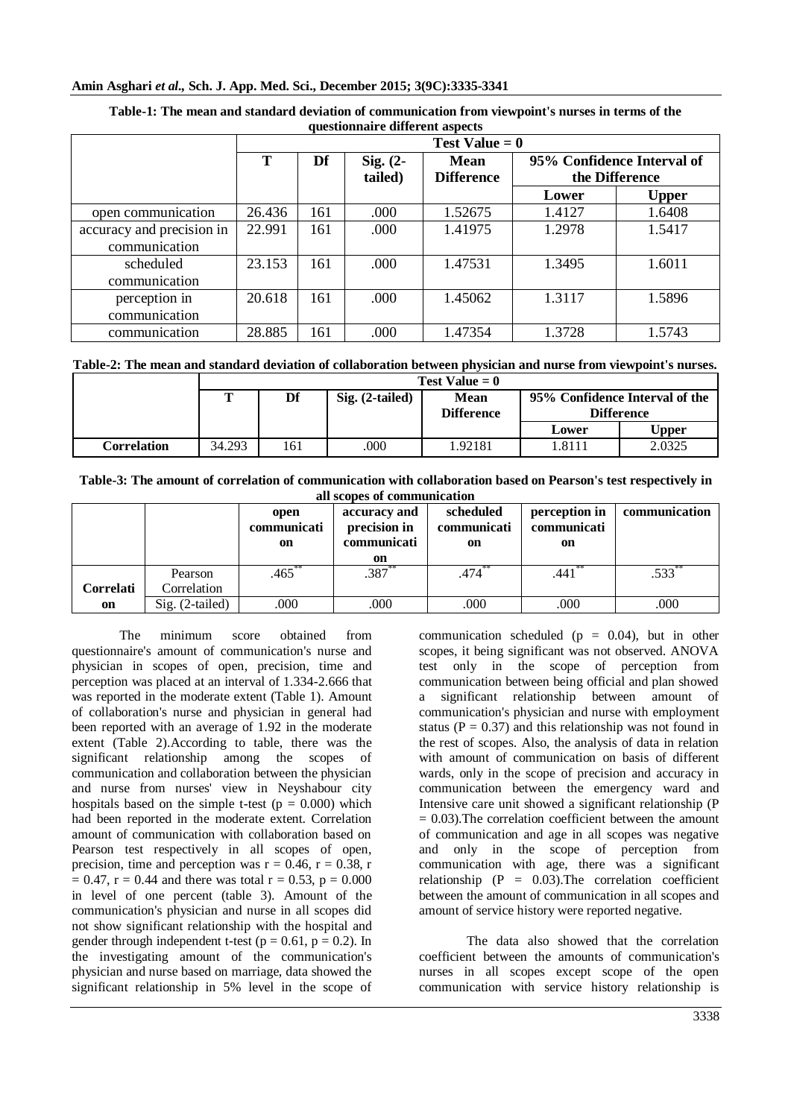# **Amin Asghari** *et al.,* **Sch. J. App. Med. Sci., December 2015; 3(9C):3335-3341**

| <u>websiteman e waaren ene wopeer</u> |                  |     |                       |                                  |                                              |              |  |  |
|---------------------------------------|------------------|-----|-----------------------|----------------------------------|----------------------------------------------|--------------|--|--|
|                                       | Test Value $= 0$ |     |                       |                                  |                                              |              |  |  |
|                                       | Т                | Df  | Sig. $(2-$<br>tailed) | <b>Mean</b><br><b>Difference</b> | 95% Confidence Interval of<br>the Difference |              |  |  |
|                                       |                  |     |                       |                                  | Lower                                        | <b>Upper</b> |  |  |
| open communication                    | 26.436           | 161 | .000                  | 1.52675                          | 1.4127                                       | 1.6408       |  |  |
| accuracy and precision in             | 22.991           | 161 | .000                  | 1.41975                          | 1.2978                                       | 1.5417       |  |  |
| communication                         |                  |     |                       |                                  |                                              |              |  |  |
| scheduled                             | 23.153           | 161 | .000                  | 1.47531                          | 1.3495                                       | 1.6011       |  |  |
| communication                         |                  |     |                       |                                  |                                              |              |  |  |
| perception in                         | 20.618           | 161 | .000                  | 1.45062                          | 1.3117                                       | 1.5896       |  |  |
| communication                         |                  |     |                       |                                  |                                              |              |  |  |
| communication                         | 28.885           | 161 | .000                  | 1.47354                          | 1.3728                                       | 1.5743       |  |  |

#### **Table-1: The mean and standard deviation of communication from viewpoint's nurses in terms of the questionnaire different aspects**

**Table-2: The mean and standard deviation of collaboration between physician and nurse from viewpoint's nurses.**

|             | $Test Value = 0$ |     |                   |                   |                                |        |
|-------------|------------------|-----|-------------------|-------------------|--------------------------------|--------|
|             | $\mathbf{T}$     | Df  | $Sig. (2-tailed)$ | <b>Mean</b>       | 95% Confidence Interval of the |        |
|             |                  |     |                   | <b>Difference</b> | <b>Difference</b>              |        |
|             |                  |     |                   |                   | Lower                          | Upper  |
| Correlation | 34.293           | 161 | .000              | 1.92181           | 1.8111                         | 2.0325 |

**Table-3: The amount of correlation of communication with collaboration based on Pearson's test respectively in all scopes of communication**

|                 |                                  | open<br>communicati<br>on | accuracy and<br>precision in<br>communicati<br>on | scheduled<br>communicati<br>on | perception in<br>communicati<br>on | communication        |
|-----------------|----------------------------------|---------------------------|---------------------------------------------------|--------------------------------|------------------------------------|----------------------|
|                 | Pearson                          | $.465$ <sup>*</sup>       | $.387^{*}$                                        | .474                           | .441                               | $.533$ <sup>**</sup> |
| Correlati<br>on | Correlation<br>$Sig. (2-tailed)$ | .000                      | .000                                              | .000                           | .000                               | .000                 |

The minimum score obtained from questionnaire's amount of communication's nurse and physician in scopes of open, precision, time and perception was placed at an interval of 1.334-2.666 that was reported in the moderate extent (Table 1). Amount of collaboration's nurse and physician in general had been reported with an average of 1.92 in the moderate extent (Table 2).According to table, there was the significant relationship among the scopes of communication and collaboration between the physician and nurse from nurses' view in Neyshabour city hospitals based on the simple t-test ( $p = 0.000$ ) which had been reported in the moderate extent. Correlation amount of communication with collaboration based on Pearson test respectively in all scopes of open, precision, time and perception was  $r = 0.46$ ,  $r = 0.38$ , r  $= 0.47$ ,  $r = 0.44$  and there was total  $r = 0.53$ ,  $p = 0.000$ in level of one percent (table 3). Amount of the communication's physician and nurse in all scopes did not show significant relationship with the hospital and gender through independent t-test ( $p = 0.61$ ,  $p = 0.2$ ). In the investigating amount of the communication's physician and nurse based on marriage, data showed the significant relationship in 5% level in the scope of

communication scheduled ( $p = 0.04$ ), but in other scopes, it being significant was not observed. ANOVA test only in the scope of perception from communication between being official and plan showed a significant relationship between amount of communication's physician and nurse with employment status ( $P = 0.37$ ) and this relationship was not found in the rest of scopes. Also, the analysis of data in relation with amount of communication on basis of different wards, only in the scope of precision and accuracy in communication between the emergency ward and Intensive care unit showed a significant relationship (P  $= 0.03$ ). The correlation coefficient between the amount of communication and age in all scopes was negative and only in the scope of perception from communication with age, there was a significant relationship  $(P = 0.03)$ . The correlation coefficient between the amount of communication in all scopes and amount of service history were reported negative.

The data also showed that the correlation coefficient between the amounts of communication's nurses in all scopes except scope of the open communication with service history relationship is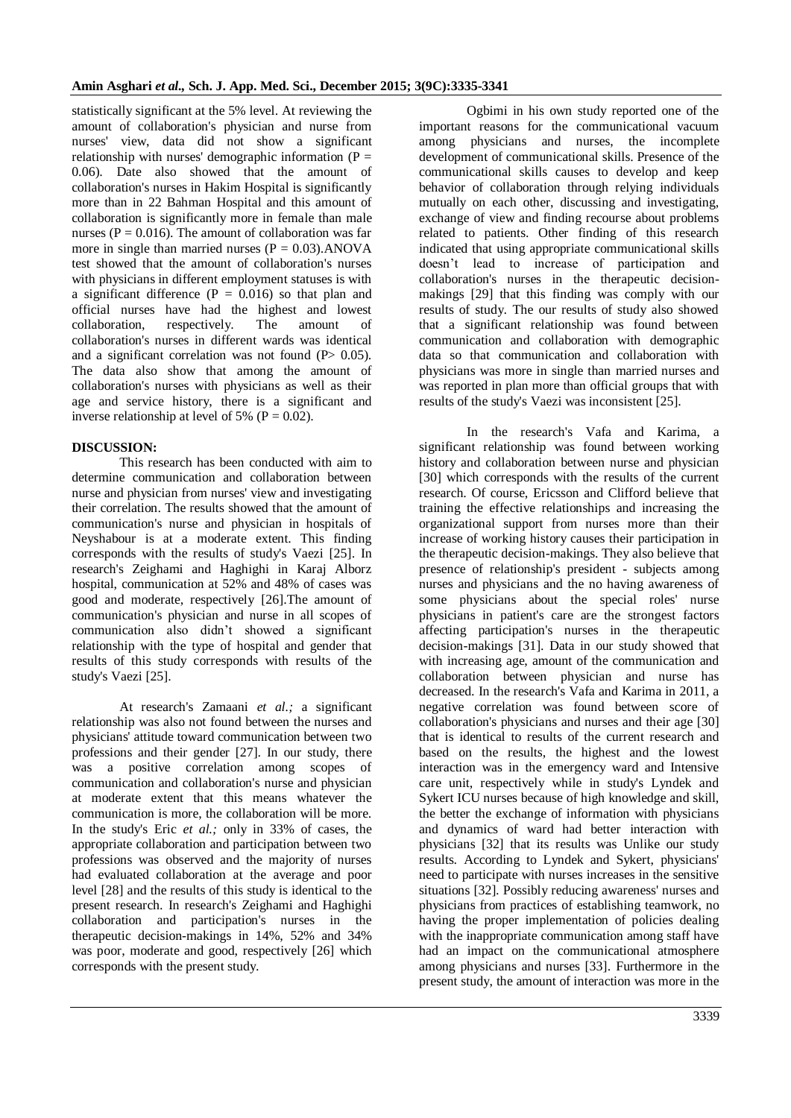statistically significant at the 5% level. At reviewing the amount of collaboration's physician and nurse from nurses' view, data did not show a significant relationship with nurses' demographic information  $(P =$ 0.06). Date also showed that the amount of collaboration's nurses in Hakim Hospital is significantly more than in 22 Bahman Hospital and this amount of collaboration is significantly more in female than male nurses ( $P = 0.016$ ). The amount of collaboration was far more in single than married nurses  $(P = 0.03)$ . ANOVA test showed that the amount of collaboration's nurses with physicians in different employment statuses is with a significant difference  $(P = 0.016)$  so that plan and official nurses have had the highest and lowest collaboration, respectively. The amount of collaboration's nurses in different wards was identical and a significant correlation was not found  $(P> 0.05)$ . The data also show that among the amount of collaboration's nurses with physicians as well as their age and service history, there is a significant and inverse relationship at level of 5% ( $P = 0.02$ ).

# **DISCUSSION:**

This research has been conducted with aim to determine communication and collaboration between nurse and physician from nurses' view and investigating their correlation. The results showed that the amount of communication's nurse and physician in hospitals of Neyshabour is at a moderate extent. This finding corresponds with the results of study's Vaezi [25]. In research's Zeighami and Haghighi in Karaj Alborz hospital, communication at 52% and 48% of cases was good and moderate, respectively [26].The amount of communication's physician and nurse in all scopes of communication also didn't showed a significant relationship with the type of hospital and gender that results of this study corresponds with results of the study's Vaezi [25].

At research's Zamaani *et al.;* a significant relationship was also not found between the nurses and physicians' attitude toward communication between two professions and their gender [27]. In our study, there was a positive correlation among scopes of communication and collaboration's nurse and physician at moderate extent that this means whatever the communication is more, the collaboration will be more. In the study's Eric *et al.;* only in 33% of cases, the appropriate collaboration and participation between two professions was observed and the majority of nurses had evaluated collaboration at the average and poor level [28] and the results of this study is identical to the present research. In research's Zeighami and Haghighi collaboration and participation's nurses in the therapeutic decision-makings in 14%, 52% and 34% was poor, moderate and good, respectively [26] which corresponds with the present study.

Ogbimi in his own study reported one of the important reasons for the communicational vacuum among physicians and nurses, the incomplete development of communicational skills. Presence of the communicational skills causes to develop and keep behavior of collaboration through relying individuals mutually on each other, discussing and investigating, exchange of view and finding recourse about problems related to patients. Other finding of this research indicated that using appropriate communicational skills doesn't lead to increase of participation and collaboration's nurses in the therapeutic decisionmakings [29] that this finding was comply with our results of study. The our results of study also showed that a significant relationship was found between communication and collaboration with demographic data so that communication and collaboration with physicians was more in single than married nurses and was reported in plan more than official groups that with results of the study's Vaezi was inconsistent [25].

In the research's Vafa and Karima, a significant relationship was found between working history and collaboration between nurse and physician [30] which corresponds with the results of the current research. Of course, Ericsson and Clifford believe that training the effective relationships and increasing the organizational support from nurses more than their increase of working history causes their participation in the therapeutic decision-makings. They also believe that presence of relationship's president - subjects among nurses and physicians and the no having awareness of some physicians about the special roles' nurse physicians in patient's care are the strongest factors affecting participation's nurses in the therapeutic decision-makings [31]. Data in our study showed that with increasing age, amount of the communication and collaboration between physician and nurse has decreased. In the research's Vafa and Karima in 2011, a negative correlation was found between score of collaboration's physicians and nurses and their age [30] that is identical to results of the current research and based on the results, the highest and the lowest interaction was in the emergency ward and Intensive care unit, respectively while in study's Lyndek and Sykert ICU nurses because of high knowledge and skill, the better the exchange of information with physicians and dynamics of ward had better interaction with physicians [32] that its results was Unlike our study results. According to Lyndek and Sykert, physicians' need to participate with nurses increases in the sensitive situations [32]. Possibly reducing awareness' nurses and physicians from practices of establishing teamwork, no having the proper implementation of policies dealing with the inappropriate communication among staff have had an impact on the communicational atmosphere among physicians and nurses [33]. Furthermore in the present study, the amount of interaction was more in the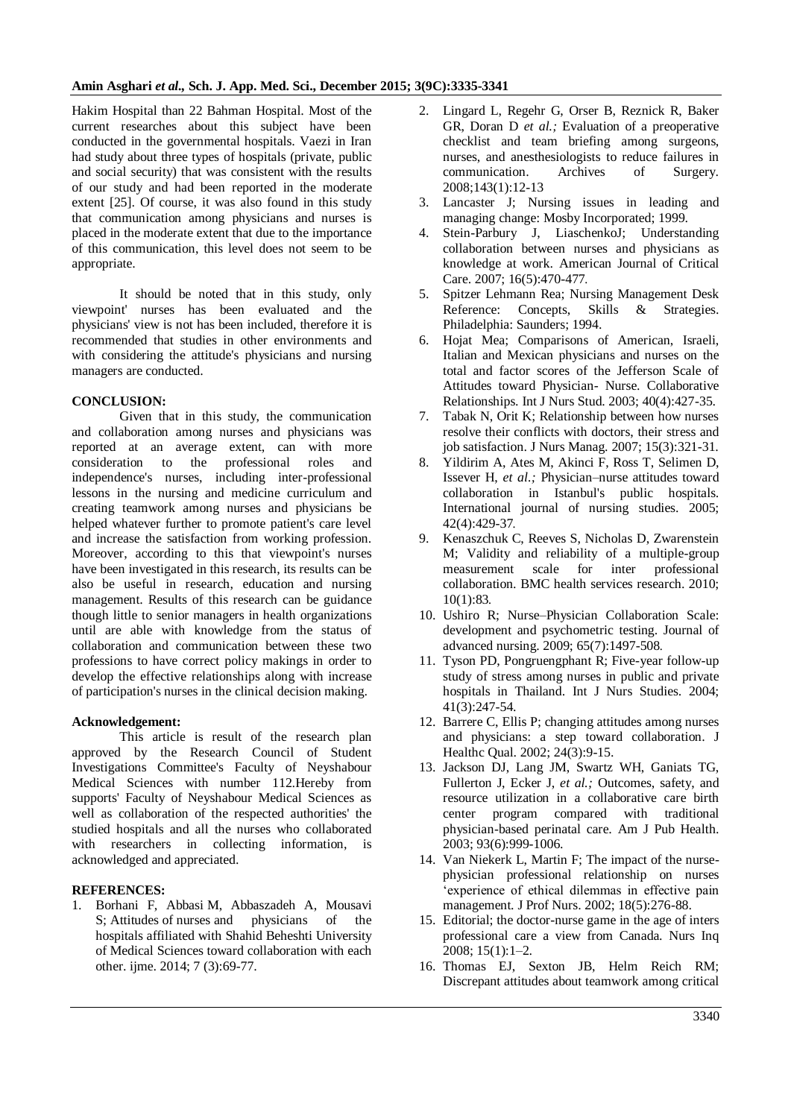Hakim Hospital than 22 Bahman Hospital. Most of the current researches about this subject have been conducted in the governmental hospitals. Vaezi in Iran had study about three types of hospitals (private, public and social security) that was consistent with the results of our study and had been reported in the moderate extent [25]. Of course, it was also found in this study that communication among physicians and nurses is placed in the moderate extent that due to the importance of this communication, this level does not seem to be appropriate.

It should be noted that in this study, only viewpoint' nurses has been evaluated and the physicians' view is not has been included, therefore it is recommended that studies in other environments and with considering the attitude's physicians and nursing managers are conducted.

## **CONCLUSION:**

Given that in this study, the communication and collaboration among nurses and physicians was reported at an average extent, can with more consideration to the professional roles and independence's nurses, including inter-professional lessons in the nursing and medicine curriculum and creating teamwork among nurses and physicians be helped whatever further to promote patient's care level and increase the satisfaction from working profession. Moreover, according to this that viewpoint's nurses have been investigated in this research, its results can be also be useful in research, education and nursing management. Results of this research can be guidance though little to senior managers in health organizations until are able with knowledge from the status of collaboration and communication between these two professions to have correct policy makings in order to develop the effective relationships along with increase of participation's nurses in the clinical decision making.

### **Acknowledgement:**

This article is result of the research plan approved by the Research Council of Student Investigations Committee's Faculty of Neyshabour Medical Sciences with number 112.Hereby from supports' Faculty of Neyshabour Medical Sciences as well as collaboration of the respected authorities' the studied hospitals and all the nurses who collaborated with researchers in collecting information, is acknowledged and appreciated.

# **REFERENCES:**

1. Borhani F, Abbasi M, Abbaszadeh A, Mousavi S; Attitudes of nurses and physicians of the hospitals affiliated with Shahid Beheshti University of Medical Sciences toward collaboration with each other. ijme. 2014; 7 (3):69-77.

- 2. Lingard L, Regehr G, Orser B, Reznick R, Baker GR, Doran D *et al.;* Evaluation of a preoperative checklist and team briefing among surgeons, nurses, and anesthesiologists to reduce failures in communication. Archives of Surgery. 2008;143(1):12-13
- 3. Lancaster J; Nursing issues in leading and managing change: Mosby Incorporated; 1999.
- 4. Stein-Parbury J, LiaschenkoJ; Understanding collaboration between nurses and physicians as knowledge at work. American Journal of Critical Care. 2007; 16(5):470-477.
- 5. Spitzer Lehmann Rea; Nursing Management Desk Reference: Concepts, Skills & Strategies. Philadelphia: Saunders; 1994.
- 6. Hojat Mea; Comparisons of American, Israeli, Italian and Mexican physicians and nurses on the total and factor scores of the Jefferson Scale of Attitudes toward Physician- Nurse. Collaborative Relationships. Int J Nurs Stud. 2003; 40(4):427-35.
- 7. Tabak N, Orit K; Relationship between how nurses resolve their conflicts with doctors, their stress and job satisfaction. J Nurs Manag. 2007; 15(3):321-31.
- 8. Yildirim A, Ates M, Akinci F, Ross T, Selimen D, Issever H, *et al.;* Physician–nurse attitudes toward collaboration in Istanbul's public hospitals. International journal of nursing studies. 2005; 42(4):429-37.
- 9. Kenaszchuk C, Reeves S, Nicholas D, Zwarenstein M; Validity and reliability of a multiple-group measurement scale for inter professional collaboration. BMC health services research. 2010; 10(1):83.
- 10. Ushiro R; Nurse–Physician Collaboration Scale: development and psychometric testing. Journal of advanced nursing. 2009; 65(7):1497-508.
- 11. Tyson PD, Pongruengphant R; Five-year follow-up study of stress among nurses in public and private hospitals in Thailand. Int J Nurs Studies. 2004; 41(3):247-54.
- 12. Barrere C, Ellis P; changing attitudes among nurses and physicians: a step toward collaboration. J Healthc Qual. 2002; 24(3):9-15.
- 13. Jackson DJ, Lang JM, Swartz WH, Ganiats TG, Fullerton J, Ecker J, *et al.;* Outcomes, safety, and resource utilization in a collaborative care birth center program compared with traditional physician-based perinatal care. Am J Pub Health. 2003; 93(6):999-1006.
- 14. Van Niekerk L, Martin F; The impact of the nursephysician professional relationship on nurses 'experience of ethical dilemmas in effective pain management. J Prof Nurs. 2002; 18(5):276-88.
- 15. Editorial; the doctor-nurse game in the age of inters professional care a view from Canada. Nurs Inq 2008; 15(1):1–2.
- 16. Thomas EJ, Sexton JB, Helm Reich RM; Discrepant attitudes about teamwork among critical